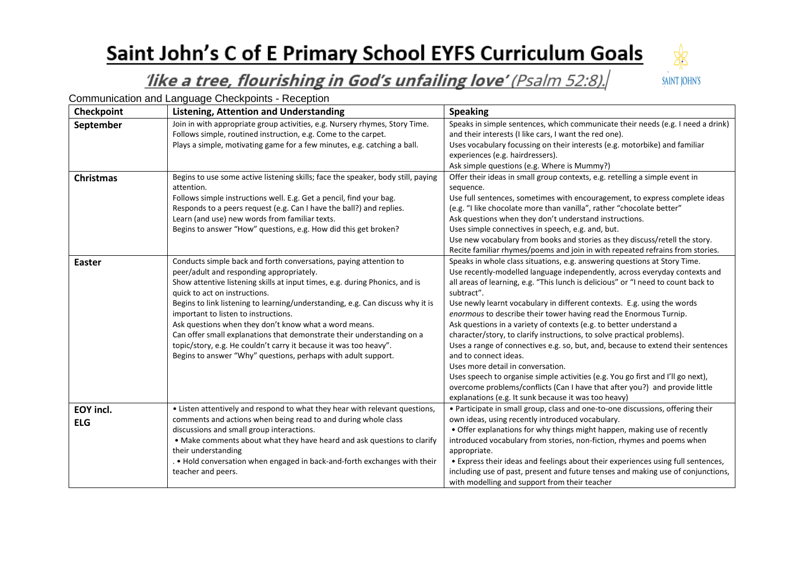## Saint John's C of E Primary School EYFS Curriculum Goals



## like a tree, flourishing in God's unfailing love' (Psalm 52:8).

Communication and Language Checkpoints - Reception

| Checkpoint                     | <b>Listening, Attention and Understanding</b>                                                                                                                                                                                                                                                                                                                                                                                                                                                                                                                                                                                    | <b>Speaking</b>                                                                                                                                                                                                                                                                                                                                                                                                                                                                                                                                                                                                                                                                                                                                                                                                                                                                                                                          |
|--------------------------------|----------------------------------------------------------------------------------------------------------------------------------------------------------------------------------------------------------------------------------------------------------------------------------------------------------------------------------------------------------------------------------------------------------------------------------------------------------------------------------------------------------------------------------------------------------------------------------------------------------------------------------|------------------------------------------------------------------------------------------------------------------------------------------------------------------------------------------------------------------------------------------------------------------------------------------------------------------------------------------------------------------------------------------------------------------------------------------------------------------------------------------------------------------------------------------------------------------------------------------------------------------------------------------------------------------------------------------------------------------------------------------------------------------------------------------------------------------------------------------------------------------------------------------------------------------------------------------|
| September                      | Join in with appropriate group activities, e.g. Nursery rhymes, Story Time.<br>Follows simple, routined instruction, e.g. Come to the carpet.<br>Plays a simple, motivating game for a few minutes, e.g. catching a ball.                                                                                                                                                                                                                                                                                                                                                                                                        | Speaks in simple sentences, which communicate their needs (e.g. I need a drink)<br>and their interests (I like cars, I want the red one).<br>Uses vocabulary focussing on their interests (e.g. motorbike) and familiar<br>experiences (e.g. hairdressers).<br>Ask simple questions (e.g. Where is Mummy?)                                                                                                                                                                                                                                                                                                                                                                                                                                                                                                                                                                                                                               |
| <b>Christmas</b>               | Begins to use some active listening skills; face the speaker, body still, paying<br>attention.<br>Follows simple instructions well. E.g. Get a pencil, find your bag.<br>Responds to a peers request (e.g. Can I have the ball?) and replies.<br>Learn (and use) new words from familiar texts.<br>Begins to answer "How" questions, e.g. How did this get broken?                                                                                                                                                                                                                                                               | Offer their ideas in small group contexts, e.g. retelling a simple event in<br>sequence.<br>Use full sentences, sometimes with encouragement, to express complete ideas<br>(e.g. "I like chocolate more than vanilla", rather "chocolate better"<br>Ask questions when they don't understand instructions.<br>Uses simple connectives in speech, e.g. and, but.<br>Use new vocabulary from books and stories as they discuss/retell the story.<br>Recite familiar rhymes/poems and join in with repeated refrains from stories.                                                                                                                                                                                                                                                                                                                                                                                                          |
| <b>Easter</b>                  | Conducts simple back and forth conversations, paying attention to<br>peer/adult and responding appropriately.<br>Show attentive listening skills at input times, e.g. during Phonics, and is<br>quick to act on instructions.<br>Begins to link listening to learning/understanding, e.g. Can discuss why it is<br>important to listen to instructions.<br>Ask questions when they don't know what a word means.<br>Can offer small explanations that demonstrate their understanding on a<br>topic/story, e.g. He couldn't carry it because it was too heavy".<br>Begins to answer "Why" questions, perhaps with adult support. | Speaks in whole class situations, e.g. answering questions at Story Time.<br>Use recently-modelled language independently, across everyday contexts and<br>all areas of learning, e.g. "This lunch is delicious" or "I need to count back to<br>subtract".<br>Use newly learnt vocabulary in different contexts. E.g. using the words<br>enormous to describe their tower having read the Enormous Turnip.<br>Ask questions in a variety of contexts (e.g. to better understand a<br>character/story, to clarify instructions, to solve practical problems).<br>Uses a range of connectives e.g. so, but, and, because to extend their sentences<br>and to connect ideas.<br>Uses more detail in conversation.<br>Uses speech to organise simple activities (e.g. You go first and I'll go next),<br>overcome problems/conflicts (Can I have that after you?) and provide little<br>explanations (e.g. It sunk because it was too heavy) |
| <b>EOY incl.</b><br><b>ELG</b> | • Listen attentively and respond to what they hear with relevant questions,<br>comments and actions when being read to and during whole class<br>discussions and small group interactions.<br>• Make comments about what they have heard and ask questions to clarify<br>their understanding<br>. . Hold conversation when engaged in back-and-forth exchanges with their<br>teacher and peers.                                                                                                                                                                                                                                  | • Participate in small group, class and one-to-one discussions, offering their<br>own ideas, using recently introduced vocabulary.<br>• Offer explanations for why things might happen, making use of recently<br>introduced vocabulary from stories, non-fiction, rhymes and poems when<br>appropriate.<br>• Express their ideas and feelings about their experiences using full sentences,<br>including use of past, present and future tenses and making use of conjunctions,<br>with modelling and support from their teacher                                                                                                                                                                                                                                                                                                                                                                                                        |